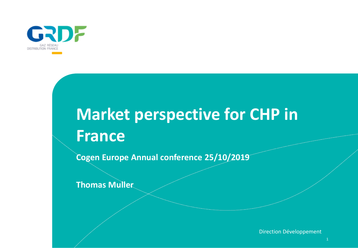

## **Market perspective for CHP in France**

**Cogen Europe Annual conference 25/10/2019**

**Thomas Muller**

Direction Développement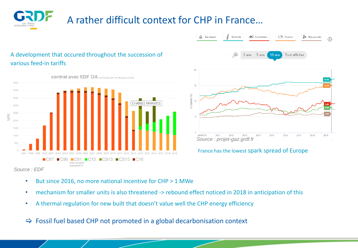## A rather difficult context for CHP in France…





France has the lowest spark spread of Europe

- But since 2016, no more national incentive for CHP > 1 MWe
- mechanism for smaller units is also threatened -> rebound effect noticed in 2018 in anticipation of this
- A thermal regulation for new built that doesn't value well the CHP energy efficiency

 $\Rightarrow$  Fossil fuel based CHP not promoted in a global decarbonisation context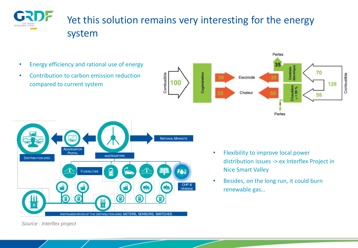

### Yet this solution remains very interesting for the energy system

- Energy efficiency and rational use of energy
- Contribution to carbon emission reduction compared to current system





- Flexibility to improve local power distribution issues -> ex Interflex Project in Nice Smart Valley
- Besides, on the long run, it could burn renewable gas…

*Source : Interflex project*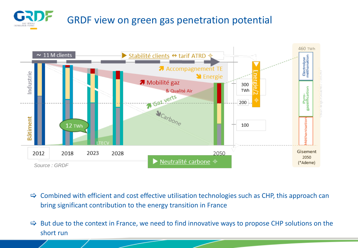# GRDF view on green gas penetration potential



- $\Rightarrow$  Combined with efficient and cost effective utilisation technologies such as CHP, this approach can bring significant contribution to the energy transition in France
- $\Rightarrow$  But due to the context in France, we need to find innovative ways to propose CHP solutions on the short run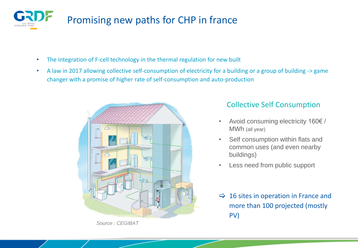

## Promising new paths for CHP in france

- The integration of F-cell technology in the thermal regulation for new built
- A law in 2017 allowing collective self-consumption of electricity for a building or a group of building -> game changer with a promise of higher rate of self-consumption and auto-production



*Source : CEGIBAT*

#### Collective Self Consumption

- Avoid consuming electricity 160€ / MWh (all year)
- Self consumption within flats and common uses (and even nearby buildings)
- Less need from public support
- $\Rightarrow$  16 sites in operation in France and more than 100 projected (mostly PV)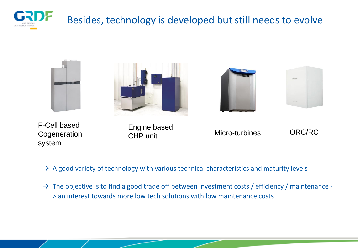

#### Besides, technology is developed but still needs to evolve



F-Cell based **Cogeneration** system



 $\Rightarrow$  A good variety of technology with various technical characteristics and maturity levels

 $\Rightarrow$  The objective is to find a good trade off between investment costs / efficiency / maintenance -> an interest towards more low tech solutions with low maintenance costs